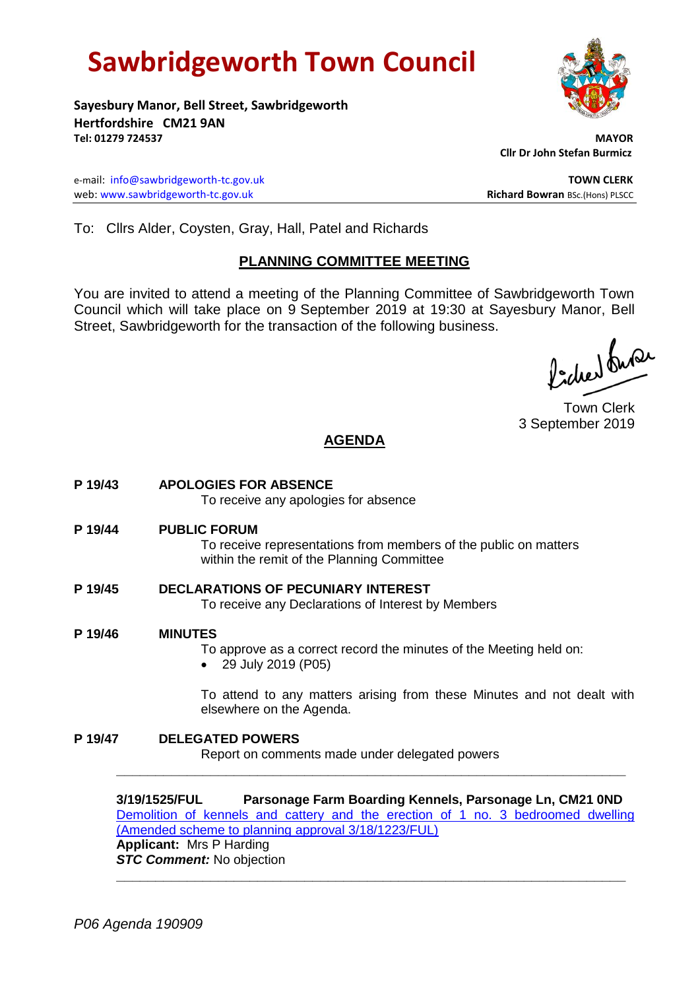# **Sawbridgeworth Town Council**



**Sayesbury Manor, Bell Street, Sawbridgeworth Hertfordshire CM21 9AN Tel: 01279 724537 MAYOR**

e-mail: [info@sawbridgeworth-tc.gov.uk](mailto:info@sawbridgeworth-tc.gov.uk) **TOWN CLERK** web: www.sawbridgeworth-tc.gov.uk<br> **Richard Bowran** BSc.(Hons) PLSCC

 **Cllr Dr John Stefan Burmicz**

To: Cllrs Alder, Coysten, Gray, Hall, Patel and Richards

# **PLANNING COMMITTEE MEETING**

You are invited to attend a meeting of the Planning Committee of Sawbridgeworth Town Council which will take place on 9 September 2019 at 19:30 at Sayesbury Manor, Bell Street, Sawbridgeworth for the transaction of the following business.

fidee buse

Town Clerk 3 September 2019

# **AGENDA**

- **P 19/43 APOLOGIES FOR ABSENCE** To receive any apologies for absence
- **P 19/44 PUBLIC FORUM**

To receive representations from members of the public on matters within the remit of the Planning Committee

- **P 19/45 DECLARATIONS OF PECUNIARY INTEREST** To receive any Declarations of Interest by Members
- **P 19/46 MINUTES**
	- To approve as a correct record the minutes of the Meeting held on:
	- 29 July 2019 (P05)

To attend to any matters arising from these Minutes and not dealt with elsewhere on the Agenda.

**P 19/47 DELEGATED POWERS** Report on comments made under delegated powers

**3/19/1525/FUL Parsonage Farm Boarding Kennels, Parsonage Ln, CM21 0ND** [Demolition of kennels and cattery and the erection of 1 no. 3 bedroomed dwelling](https://publicaccess.eastherts.gov.uk/online-applications/applicationDetails.do?activeTab=documents&keyVal=PUVNHWGLKCA00)  [\(Amended scheme to planning approval 3/18/1223/FUL\)](https://publicaccess.eastherts.gov.uk/online-applications/applicationDetails.do?activeTab=documents&keyVal=PUVNHWGLKCA00) **Applicant:** Mrs P Harding *STC Comment:* No objection **\_\_\_\_\_\_\_\_\_\_\_\_\_\_\_\_\_\_\_\_\_\_\_\_\_\_\_\_\_\_\_\_\_\_\_\_\_\_\_\_\_\_\_\_\_\_\_\_\_\_\_\_\_\_\_\_\_\_\_\_\_\_\_\_\_**

**\_\_\_\_\_\_\_\_\_\_\_\_\_\_\_\_\_\_\_\_\_\_\_\_\_\_\_\_\_\_\_\_\_\_\_\_\_\_\_\_\_\_\_\_\_\_\_\_\_\_\_\_\_\_\_\_\_\_\_\_\_\_\_\_\_**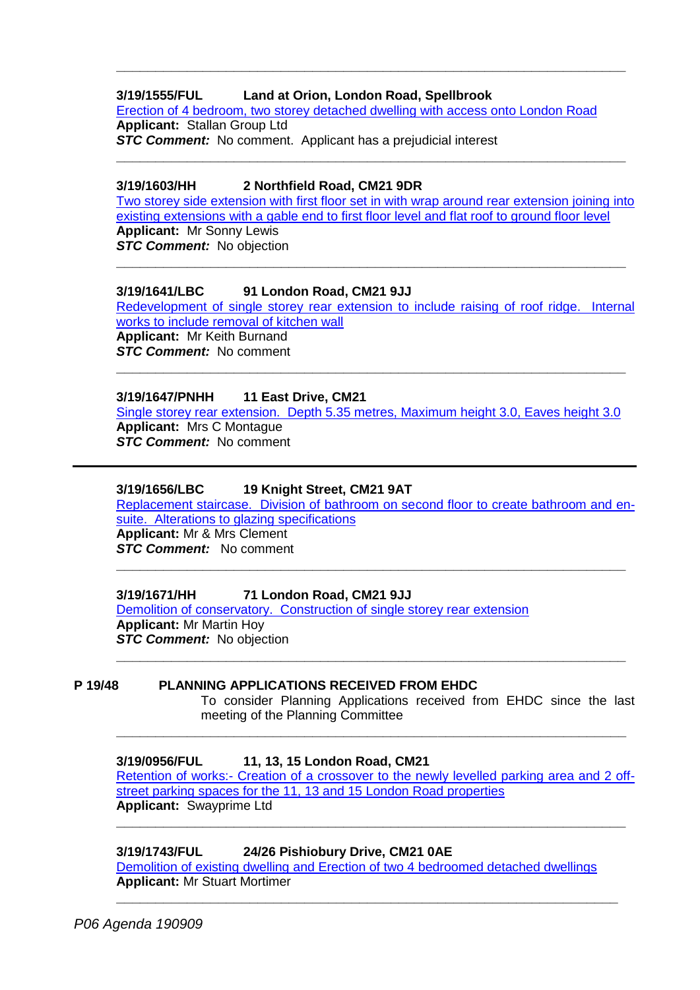# **3/19/1555/FUL Land at Orion, London Road, Spellbrook**

[Erection of 4 bedroom, two storey detached dwelling with access onto London Road](https://publicaccess.eastherts.gov.uk/online-applications/applicationDetails.do?activeTab=documents&keyVal=PV3OF1GLKEC00) **Applicant:** Stallan Group Ltd *STC Comment:* No comment. Applicant has a prejudicial interest

**\_\_\_\_\_\_\_\_\_\_\_\_\_\_\_\_\_\_\_\_\_\_\_\_\_\_\_\_\_\_\_\_\_\_\_\_\_\_\_\_\_\_\_\_\_\_\_\_\_\_\_\_\_\_\_\_\_\_\_\_\_\_\_\_\_**

**\_\_\_\_\_\_\_\_\_\_\_\_\_\_\_\_\_\_\_\_\_\_\_\_\_\_\_\_\_\_\_\_\_\_\_\_\_\_\_\_\_\_\_\_\_\_\_\_\_\_\_\_\_\_\_\_\_\_\_\_\_\_\_\_\_**

#### **3/19/1603/HH 2 Northfield Road, CM21 9DR**

[Two storey side extension with first floor set in with wrap around rear extension joining into](https://publicaccess.eastherts.gov.uk/online-applications/applicationDetails.do?activeTab=documents&keyVal=PVJQ5CGLKI000)  [existing extensions with a gable end to first floor level and flat roof to ground floor level](https://publicaccess.eastherts.gov.uk/online-applications/applicationDetails.do?activeTab=documents&keyVal=PVJQ5CGLKI000) **Applicant:** Mr Sonny Lewis **STC Comment:** No objection

**\_\_\_\_\_\_\_\_\_\_\_\_\_\_\_\_\_\_\_\_\_\_\_\_\_\_\_\_\_\_\_\_\_\_\_\_\_\_\_\_\_\_\_\_\_\_\_\_\_\_\_\_\_\_\_\_\_\_\_\_\_\_\_\_\_**

#### **3/19/1641/LBC 91 London Road, CM21 9JJ**

[Redevelopment of single storey rear extension to include raising of roof ridge. Internal](https://publicaccess.eastherts.gov.uk/online-applications/applicationDetails.do?activeTab=documents&keyVal=PVVGF9GLKKT00)  [works to include removal of kitchen wall](https://publicaccess.eastherts.gov.uk/online-applications/applicationDetails.do?activeTab=documents&keyVal=PVVGF9GLKKT00) **Applicant:** Mr Keith Burnand *STC Comment:* No comment

# **3/19/1647/PNHH 11 East Drive, CM21**

[Single storey rear extension. Depth 5.35 metres, Maximum height 3.0, Eaves height 3.0](https://publicaccess.eastherts.gov.uk/online-applications/applicationDetails.do?activeTab=documents&keyVal=PVWX9ZGL04O00) **Applicant:** Mrs C Montague *STC Comment:* No comment

**\_\_\_\_\_\_\_\_\_\_\_\_\_\_\_\_\_\_\_\_\_\_\_\_\_\_\_\_\_\_\_\_\_\_\_\_\_\_\_\_\_\_\_\_\_\_\_\_\_\_\_\_\_\_\_\_\_\_\_\_\_\_\_\_\_**

#### **3/19/1656/LBC 19 Knight Street, CM21 9AT**

[Replacement staircase. Division of bathroom on second floor to create bathroom and en](https://publicaccess.eastherts.gov.uk/online-applications/applicationDetails.do?activeTab=documents&keyVal=PVYUMWGLKLY00)[suite. Alterations to glazing specifications](https://publicaccess.eastherts.gov.uk/online-applications/applicationDetails.do?activeTab=documents&keyVal=PVYUMWGLKLY00)

**\_\_\_\_\_\_\_\_\_\_\_\_\_\_\_\_\_\_\_\_\_\_\_\_\_\_\_\_\_\_\_\_\_\_\_\_\_\_\_\_\_\_\_\_\_\_\_\_\_\_\_\_\_\_\_\_\_\_\_\_\_\_\_\_\_**

**Applicant:** Mr & Mrs Clement *STC Comment:* No comment

#### **3/19/1671/HH 71 London Road, CM21 9JJ**

[Demolition of conservatory. Construction of single storey rear extension](https://publicaccess.eastherts.gov.uk/online-applications/applicationDetails.do?activeTab=documents&keyVal=PW5Y66GLKNE00) **Applicant:** Mr Martin Hoy **STC Comment:** No objection **\_\_\_\_\_\_\_\_\_\_\_\_\_\_\_\_\_\_\_\_\_\_\_\_\_\_\_\_\_\_\_\_\_\_\_\_\_\_\_\_\_\_\_\_\_\_\_\_\_\_\_\_\_\_\_\_\_\_\_\_\_\_\_\_\_**

#### **P 19/48 PLANNING APPLICATIONS RECEIVED FROM EHDC**

To consider Planning Applications received from EHDC since the last meeting of the Planning Committee

# **3/19/0956/FUL 11, 13, 15 London Road, CM21**

Retention of works:- [Creation of a crossover to the newly levelled parking area and 2 off](https://publicaccess.eastherts.gov.uk/online-applications/applicationDetails.do?activeTab=documents&keyVal=PR4RZPGLJ8O00)[street parking spaces for the 11, 13 and 15 London Road properties](https://publicaccess.eastherts.gov.uk/online-applications/applicationDetails.do?activeTab=documents&keyVal=PR4RZPGLJ8O00) **Applicant:** Swayprime Ltd

**\_\_\_\_\_\_\_\_\_\_\_\_\_\_\_\_\_\_\_\_\_\_\_\_\_\_\_\_\_\_\_\_\_\_\_\_\_\_\_\_\_\_\_\_\_\_\_\_\_\_\_\_\_\_\_\_\_\_\_\_\_\_\_\_\_**

**\_\_\_\_\_\_\_\_\_\_\_\_\_\_\_\_\_\_\_\_\_\_\_\_\_\_\_\_\_\_\_\_\_\_\_\_\_\_\_\_\_\_\_\_\_\_\_\_\_\_\_\_\_\_\_\_\_\_\_\_\_\_\_\_\_**

#### **3/19/1743/FUL 24/26 Pishiobury Drive, CM21 0AE**

[Demolition of existing dwelling and Erection of two 4 bedroomed detached dwellings](https://publicaccess.eastherts.gov.uk/online-applications/applicationDetails.do?activeTab=documents&keyVal=PWOFGDGLKSO00) **Applicant:** Mr Stuart Mortimer

**\_\_\_\_\_\_\_\_\_\_\_\_\_\_\_\_\_\_\_\_\_\_\_\_\_\_\_\_\_\_\_\_\_\_\_\_\_\_\_\_\_\_\_\_\_\_\_\_\_\_\_\_\_\_\_\_\_\_\_\_\_\_\_\_**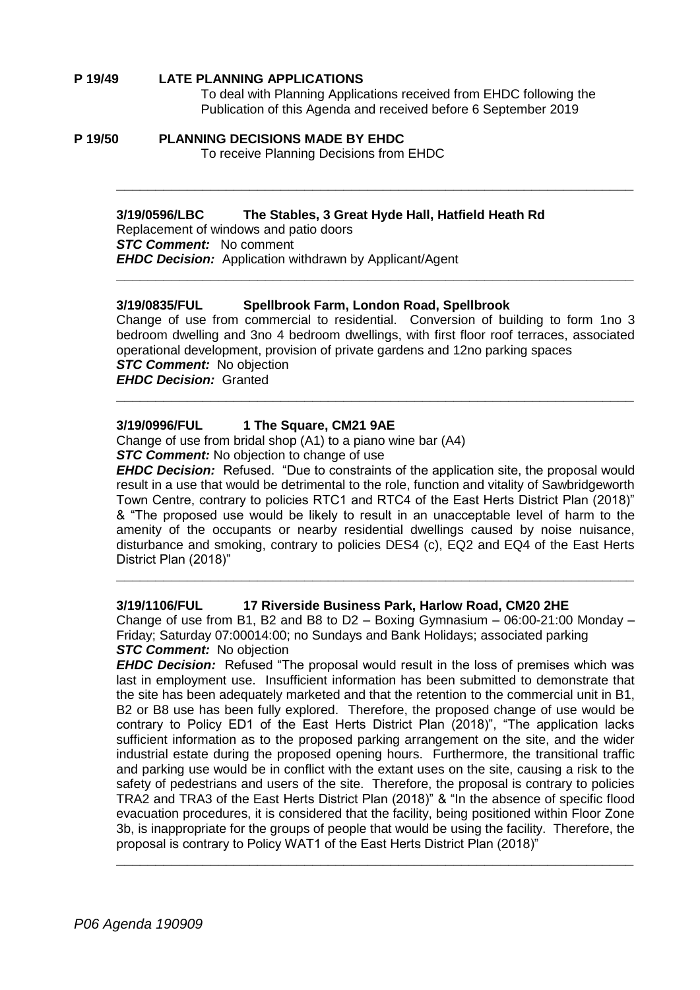#### **P 19/49 LATE PLANNING APPLICATIONS**

To deal with Planning Applications received from EHDC following the Publication of this Agenda and received before 6 September 2019

#### **P 19/50 PLANNING DECISIONS MADE BY EHDC** To receive Planning Decisions from EHDC

#### **3/19/0596/LBC The Stables, 3 Great Hyde Hall, Hatfield Heath Rd**

Replacement of windows and patio doors *STC Comment:* No comment *EHDC Decision:* Application withdrawn by Applicant/Agent

#### **3/19/0835/FUL Spellbrook Farm, London Road, Spellbrook**

Change of use from commercial to residential. Conversion of building to form 1no 3 bedroom dwelling and 3no 4 bedroom dwellings, with first floor roof terraces, associated operational development, provision of private gardens and 12no parking spaces **STC Comment:** No objection

**\_\_\_\_\_\_\_\_\_\_\_\_\_\_\_\_\_\_\_\_\_\_\_\_\_\_\_\_\_\_\_\_\_\_\_\_\_\_\_\_\_\_\_\_\_\_\_\_\_\_\_\_\_\_\_\_\_\_\_\_\_\_\_\_\_\_**

**\_\_\_\_\_\_\_\_\_\_\_\_\_\_\_\_\_\_\_\_\_\_\_\_\_\_\_\_\_\_\_\_\_\_\_\_\_\_\_\_\_\_\_\_\_\_\_\_\_\_\_\_\_\_\_\_\_\_\_\_\_\_\_\_\_\_**

**\_\_\_\_\_\_\_\_\_\_\_\_\_\_\_\_\_\_\_\_\_\_\_\_\_\_\_\_\_\_\_\_\_\_\_\_\_\_\_\_\_\_\_\_\_\_\_\_\_\_\_\_\_\_\_\_\_\_\_\_\_\_\_\_\_\_**

*EHDC Decision:* Granted

#### **3/19/0996/FUL 1 The Square, CM21 9AE**

Change of use from bridal shop (A1) to a piano wine bar (A4)

**STC Comment:** No objection to change of use

*EHDC Decision:* Refused. "Due to constraints of the application site, the proposal would result in a use that would be detrimental to the role, function and vitality of Sawbridgeworth Town Centre, contrary to policies RTC1 and RTC4 of the East Herts District Plan (2018)" & "The proposed use would be likely to result in an unacceptable level of harm to the amenity of the occupants or nearby residential dwellings caused by noise nuisance, disturbance and smoking, contrary to policies DES4 (c), EQ2 and EQ4 of the East Herts District Plan (2018)"

#### **3/19/1106/FUL 17 Riverside Business Park, Harlow Road, CM20 2HE**

Change of use from B1, B2 and B8 to  $D2 -$  Boxing Gymnasium  $-$  06:00-21:00 Monday  $-$ Friday; Saturday 07:00014:00; no Sundays and Bank Holidays; associated parking *STC Comment:* No objection

**\_\_\_\_\_\_\_\_\_\_\_\_\_\_\_\_\_\_\_\_\_\_\_\_\_\_\_\_\_\_\_\_\_\_\_\_\_\_\_\_\_\_\_\_\_\_\_\_\_\_\_\_\_\_\_\_\_\_\_\_\_\_\_\_\_\_**

*EHDC Decision:* Refused "The proposal would result in the loss of premises which was last in employment use. Insufficient information has been submitted to demonstrate that the site has been adequately marketed and that the retention to the commercial unit in B1, B2 or B8 use has been fully explored. Therefore, the proposed change of use would be contrary to Policy ED1 of the East Herts District Plan (2018)", "The application lacks sufficient information as to the proposed parking arrangement on the site, and the wider industrial estate during the proposed opening hours. Furthermore, the transitional traffic and parking use would be in conflict with the extant uses on the site, causing a risk to the safety of pedestrians and users of the site. Therefore, the proposal is contrary to policies TRA2 and TRA3 of the East Herts District Plan (2018)" & "In the absence of specific flood evacuation procedures, it is considered that the facility, being positioned within Floor Zone 3b, is inappropriate for the groups of people that would be using the facility. Therefore, the proposal is contrary to Policy WAT1 of the East Herts District Plan (2018)"

**\_\_\_\_\_\_\_\_\_\_\_\_\_\_\_\_\_\_\_\_\_\_\_\_\_\_\_\_\_\_\_\_\_\_\_\_\_\_\_\_\_\_\_\_\_\_\_\_\_\_\_\_\_\_\_\_\_\_\_\_\_\_\_\_\_\_**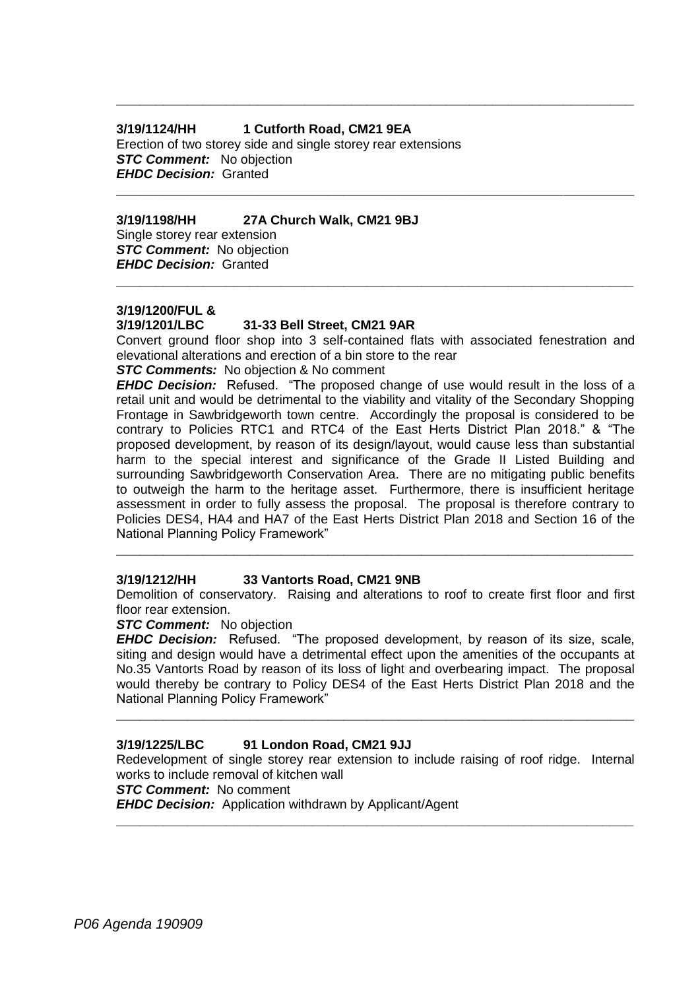# **3/19/1124/HH 1 Cutforth Road, CM21 9EA**

Erection of two storey side and single storey rear extensions *STC Comment:* No objection *EHDC Decision:* Granted

## **3/19/1198/HH 27A Church Walk, CM21 9BJ**

Single storey rear extension *STC Comment:* No objection *EHDC Decision:* Granted

# **3/19/1200/FUL &**

#### **3/19/1201/LBC 31-33 Bell Street, CM21 9AR**

Convert ground floor shop into 3 self-contained flats with associated fenestration and elevational alterations and erection of a bin store to the rear

**\_\_\_\_\_\_\_\_\_\_\_\_\_\_\_\_\_\_\_\_\_\_\_\_\_\_\_\_\_\_\_\_\_\_\_\_\_\_\_\_\_\_\_\_\_\_\_\_\_\_\_\_\_\_\_\_\_\_\_\_\_\_\_\_\_\_**

**\_\_\_\_\_\_\_\_\_\_\_\_\_\_\_\_\_\_\_\_\_\_\_\_\_\_\_\_\_\_\_\_\_\_\_\_\_\_\_\_\_\_\_\_\_\_\_\_\_\_\_\_\_\_\_\_\_\_\_\_\_\_\_\_\_\_**

**\_\_\_\_\_\_\_\_\_\_\_\_\_\_\_\_\_\_\_\_\_\_\_\_\_\_\_\_\_\_\_\_\_\_\_\_\_\_\_\_\_\_\_\_\_\_\_\_\_\_\_\_\_\_\_\_\_\_\_\_\_\_\_\_\_\_**

*STC Comments:* No objection & No comment

*EHDC Decision:* Refused. "The proposed change of use would result in the loss of a retail unit and would be detrimental to the viability and vitality of the Secondary Shopping Frontage in Sawbridgeworth town centre. Accordingly the proposal is considered to be contrary to Policies RTC1 and RTC4 of the East Herts District Plan 2018." & "The proposed development, by reason of its design/layout, would cause less than substantial harm to the special interest and significance of the Grade II Listed Building and surrounding Sawbridgeworth Conservation Area. There are no mitigating public benefits to outweigh the harm to the heritage asset. Furthermore, there is insufficient heritage assessment in order to fully assess the proposal. The proposal is therefore contrary to Policies DES4, HA4 and HA7 of the East Herts District Plan 2018 and Section 16 of the National Planning Policy Framework"

# **3/19/1212/HH 33 Vantorts Road, CM21 9NB**

Demolition of conservatory. Raising and alterations to roof to create first floor and first floor rear extension.

**\_\_\_\_\_\_\_\_\_\_\_\_\_\_\_\_\_\_\_\_\_\_\_\_\_\_\_\_\_\_\_\_\_\_\_\_\_\_\_\_\_\_\_\_\_\_\_\_\_\_\_\_\_\_\_\_\_\_\_\_\_\_\_\_\_\_**

## **STC Comment:** No objection

*EHDC Decision:* Refused. "The proposed development, by reason of its size, scale, siting and design would have a detrimental effect upon the amenities of the occupants at No.35 Vantorts Road by reason of its loss of light and overbearing impact. The proposal would thereby be contrary to Policy DES4 of the East Herts District Plan 2018 and the National Planning Policy Framework"

**\_\_\_\_\_\_\_\_\_\_\_\_\_\_\_\_\_\_\_\_\_\_\_\_\_\_\_\_\_\_\_\_\_\_\_\_\_\_\_\_\_\_\_\_\_\_\_\_\_\_\_\_\_\_\_\_\_\_\_\_\_\_\_\_\_\_**

#### **3/19/1225/LBC 91 London Road, CM21 9JJ**

Redevelopment of single storey rear extension to include raising of roof ridge. Internal works to include removal of kitchen wall

**STC Comment:** No comment

*EHDC Decision:* Application withdrawn by Applicant/Agent **\_\_\_\_\_\_\_\_\_\_\_\_\_\_\_\_\_\_\_\_\_\_\_\_\_\_\_\_\_\_\_\_\_\_\_\_\_\_\_\_\_\_\_\_\_\_\_\_\_\_\_\_\_\_\_\_\_\_\_\_\_\_\_\_\_\_**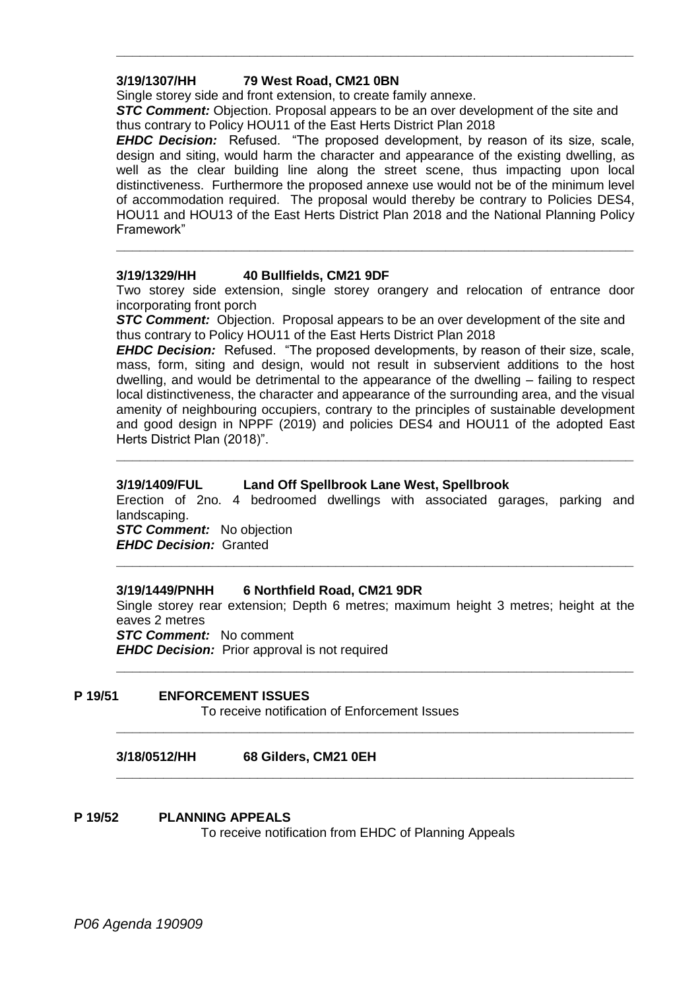# **3/19/1307/HH 79 West Road, CM21 0BN**

Single storey side and front extension, to create family annexe.

**STC Comment:** Objection. Proposal appears to be an over development of the site and thus contrary to Policy HOU11 of the East Herts District Plan 2018

**\_\_\_\_\_\_\_\_\_\_\_\_\_\_\_\_\_\_\_\_\_\_\_\_\_\_\_\_\_\_\_\_\_\_\_\_\_\_\_\_\_\_\_\_\_\_\_\_\_\_\_\_\_\_\_\_\_\_\_\_\_\_\_\_\_\_**

*EHDC Decision:* Refused. "The proposed development, by reason of its size, scale, design and siting, would harm the character and appearance of the existing dwelling, as well as the clear building line along the street scene, thus impacting upon local distinctiveness. Furthermore the proposed annexe use would not be of the minimum level of accommodation required. The proposal would thereby be contrary to Policies DES4, HOU11 and HOU13 of the East Herts District Plan 2018 and the National Planning Policy Framework"

# **3/19/1329/HH 40 Bullfields, CM21 9DF**

Two storey side extension, single storey orangery and relocation of entrance door incorporating front porch

**\_\_\_\_\_\_\_\_\_\_\_\_\_\_\_\_\_\_\_\_\_\_\_\_\_\_\_\_\_\_\_\_\_\_\_\_\_\_\_\_\_\_\_\_\_\_\_\_\_\_\_\_\_\_\_\_\_\_\_\_\_\_\_\_\_\_**

**STC Comment:** Objection. Proposal appears to be an over development of the site and thus contrary to Policy HOU11 of the East Herts District Plan 2018

*EHDC Decision:* Refused. "The proposed developments, by reason of their size, scale, mass, form, siting and design, would not result in subservient additions to the host dwelling, and would be detrimental to the appearance of the dwelling – failing to respect local distinctiveness, the character and appearance of the surrounding area, and the visual amenity of neighbouring occupiers, contrary to the principles of sustainable development and good design in NPPF (2019) and policies DES4 and HOU11 of the adopted East Herts District Plan (2018)".

# **3/19/1409/FUL Land Off Spellbrook Lane West, Spellbrook**

Erection of 2no. 4 bedroomed dwellings with associated garages, parking and landscaping.

**\_\_\_\_\_\_\_\_\_\_\_\_\_\_\_\_\_\_\_\_\_\_\_\_\_\_\_\_\_\_\_\_\_\_\_\_\_\_\_\_\_\_\_\_\_\_\_\_\_\_\_\_\_\_\_\_\_\_\_\_\_\_\_\_\_\_**

**STC Comment:** No objection *EHDC Decision:* Granted

# **3/19/1449/PNHH 6 Northfield Road, CM21 9DR**

Single storey rear extension; Depth 6 metres; maximum height 3 metres; height at the eaves 2 metres

**\_\_\_\_\_\_\_\_\_\_\_\_\_\_\_\_\_\_\_\_\_\_\_\_\_\_\_\_\_\_\_\_\_\_\_\_\_\_\_\_\_\_\_\_\_\_\_\_\_\_\_\_\_\_\_\_\_\_\_\_\_\_\_\_\_\_**

**\_\_\_\_\_\_\_\_\_\_\_\_\_\_\_\_\_\_\_\_\_\_\_\_\_\_\_\_\_\_\_\_\_\_\_\_\_\_\_\_\_\_\_\_\_\_\_\_\_\_\_\_\_\_\_\_\_\_\_\_\_\_\_\_\_\_**

**\_\_\_\_\_\_\_\_\_\_\_\_\_\_\_\_\_\_\_\_\_\_\_\_\_\_\_\_\_\_\_\_\_\_\_\_\_\_\_\_\_\_\_\_\_\_\_\_\_\_\_\_\_\_\_\_\_\_\_\_\_\_\_\_\_\_**

**\_\_\_\_\_\_\_\_\_\_\_\_\_\_\_\_\_\_\_\_\_\_\_\_\_\_\_\_\_\_\_\_\_\_\_\_\_\_\_\_\_\_\_\_\_\_\_\_\_\_\_\_\_\_\_\_\_\_\_\_\_\_\_\_\_\_**

**STC Comment:** No comment *EHDC Decision:* Prior approval is not required

**P 19/51 ENFORCEMENT ISSUES** To receive notification of Enforcement Issues

**3/18/0512/HH 68 Gilders, CM21 0EH**

# **P 19/52 PLANNING APPEALS**

To receive notification from EHDC of Planning Appeals